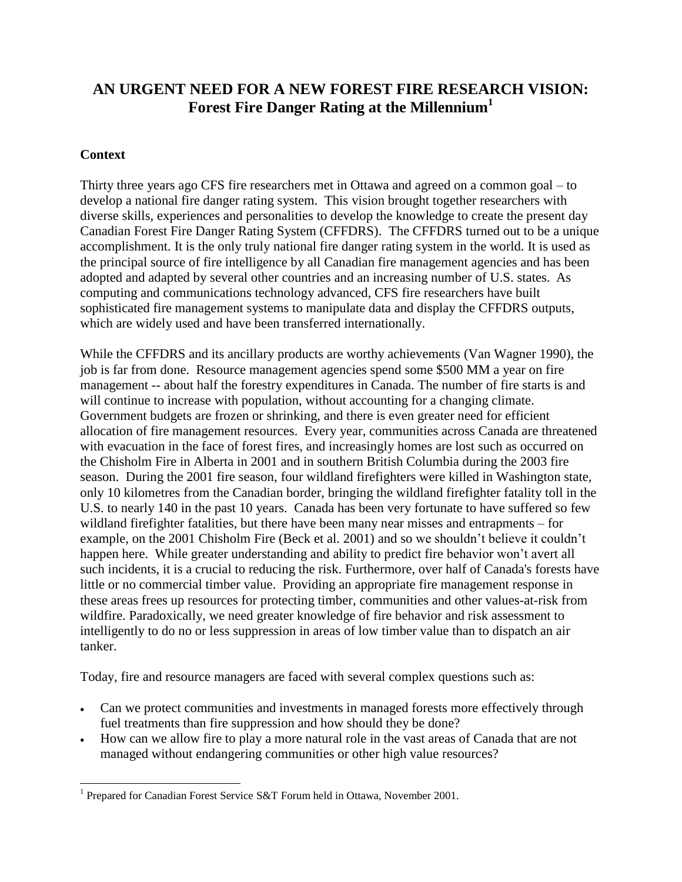# **AN URGENT NEED FOR A NEW FOREST FIRE RESEARCH VISION: Forest Fire Danger Rating at the Millennium<sup>1</sup>**

## **Context**

Thirty three years ago CFS fire researchers met in Ottawa and agreed on a common goal – to develop a national fire danger rating system. This vision brought together researchers with diverse skills, experiences and personalities to develop the knowledge to create the present day Canadian Forest Fire Danger Rating System (CFFDRS). The CFFDRS turned out to be a unique accomplishment. It is the only truly national fire danger rating system in the world. It is used as the principal source of fire intelligence by all Canadian fire management agencies and has been adopted and adapted by several other countries and an increasing number of U.S. states. As computing and communications technology advanced, CFS fire researchers have built sophisticated fire management systems to manipulate data and display the CFFDRS outputs, which are widely used and have been transferred internationally.

While the CFFDRS and its ancillary products are worthy achievements (Van Wagner 1990), the job is far from done. Resource management agencies spend some \$500 MM a year on fire management -- about half the forestry expenditures in Canada. The number of fire starts is and will continue to increase with population, without accounting for a changing climate. Government budgets are frozen or shrinking, and there is even greater need for efficient allocation of fire management resources. Every year, communities across Canada are threatened with evacuation in the face of forest fires, and increasingly homes are lost such as occurred on the Chisholm Fire in Alberta in 2001 and in southern British Columbia during the 2003 fire season. During the 2001 fire season, four wildland firefighters were killed in Washington state, only 10 kilometres from the Canadian border, bringing the wildland firefighter fatality toll in the U.S. to nearly 140 in the past 10 years. Canada has been very fortunate to have suffered so few wildland firefighter fatalities, but there have been many near misses and entrapments – for example, on the 2001 Chisholm Fire (Beck et al. 2001) and so we shouldn't believe it couldn't happen here. While greater understanding and ability to predict fire behavior won't avert all such incidents, it is a crucial to reducing the risk. Furthermore, over half of Canada's forests have little or no commercial timber value. Providing an appropriate fire management response in these areas frees up resources for protecting timber, communities and other values-at-risk from wildfire. Paradoxically, we need greater knowledge of fire behavior and risk assessment to intelligently to do no or less suppression in areas of low timber value than to dispatch an air tanker.

Today, fire and resource managers are faced with several complex questions such as:

- Can we protect communities and investments in managed forests more effectively through fuel treatments than fire suppression and how should they be done?
- How can we allow fire to play a more natural role in the vast areas of Canada that are not managed without endangering communities or other high value resources?

 $\overline{a}$ <sup>1</sup> Prepared for Canadian Forest Service S&T Forum held in Ottawa, November 2001.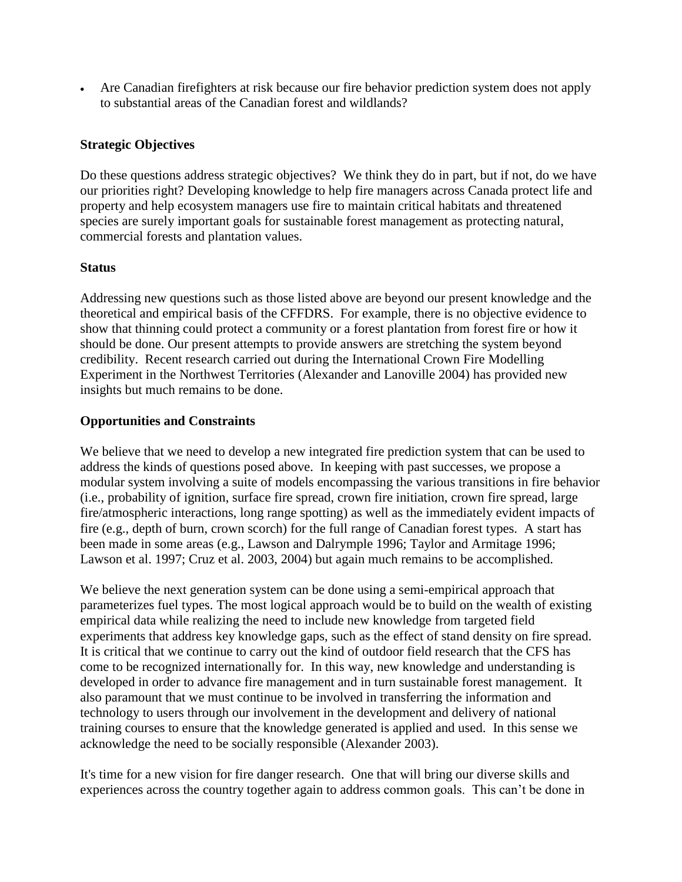Are Canadian firefighters at risk because our fire behavior prediction system does not apply to substantial areas of the Canadian forest and wildlands?

### **Strategic Objectives**

Do these questions address strategic objectives? We think they do in part, but if not, do we have our priorities right? Developing knowledge to help fire managers across Canada protect life and property and help ecosystem managers use fire to maintain critical habitats and threatened species are surely important goals for sustainable forest management as protecting natural, commercial forests and plantation values.

#### **Status**

Addressing new questions such as those listed above are beyond our present knowledge and the theoretical and empirical basis of the CFFDRS. For example, there is no objective evidence to show that thinning could protect a community or a forest plantation from forest fire or how it should be done. Our present attempts to provide answers are stretching the system beyond credibility. Recent research carried out during the International Crown Fire Modelling Experiment in the Northwest Territories (Alexander and Lanoville 2004) has provided new insights but much remains to be done.

### **Opportunities and Constraints**

We believe that we need to develop a new integrated fire prediction system that can be used to address the kinds of questions posed above. In keeping with past successes, we propose a modular system involving a suite of models encompassing the various transitions in fire behavior (i.e., probability of ignition, surface fire spread, crown fire initiation, crown fire spread, large fire/atmospheric interactions, long range spotting) as well as the immediately evident impacts of fire (e.g., depth of burn, crown scorch) for the full range of Canadian forest types. A start has been made in some areas (e.g., Lawson and Dalrymple 1996; Taylor and Armitage 1996; Lawson et al. 1997; Cruz et al. 2003, 2004) but again much remains to be accomplished.

We believe the next generation system can be done using a semi-empirical approach that parameterizes fuel types. The most logical approach would be to build on the wealth of existing empirical data while realizing the need to include new knowledge from targeted field experiments that address key knowledge gaps, such as the effect of stand density on fire spread. It is critical that we continue to carry out the kind of outdoor field research that the CFS has come to be recognized internationally for. In this way, new knowledge and understanding is developed in order to advance fire management and in turn sustainable forest management. It also paramount that we must continue to be involved in transferring the information and technology to users through our involvement in the development and delivery of national training courses to ensure that the knowledge generated is applied and used. In this sense we acknowledge the need to be socially responsible (Alexander 2003).

It's time for a new vision for fire danger research. One that will bring our diverse skills and experiences across the country together again to address common goals. This can't be done in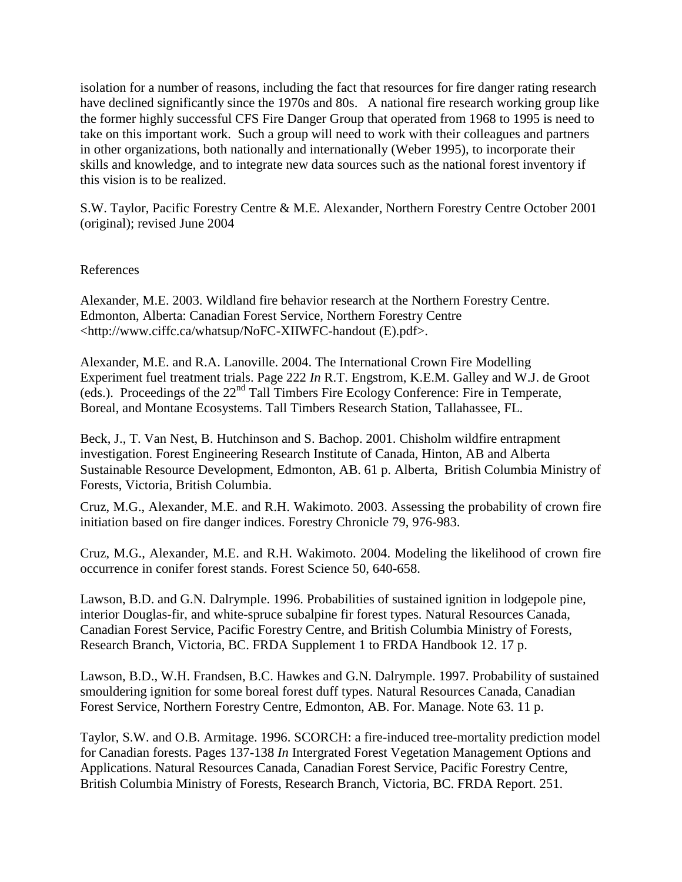isolation for a number of reasons, including the fact that resources for fire danger rating research have declined significantly since the 1970s and 80s. A national fire research working group like the former highly successful CFS Fire Danger Group that operated from 1968 to 1995 is need to take on this important work. Such a group will need to work with their colleagues and partners in other organizations, both nationally and internationally (Weber 1995), to incorporate their skills and knowledge, and to integrate new data sources such as the national forest inventory if this vision is to be realized.

S.W. Taylor, Pacific Forestry Centre & M.E. Alexander, Northern Forestry Centre October 2001 (original); revised June 2004

References

Alexander, M.E. 2003. Wildland fire behavior research at the Northern Forestry Centre. Edmonton, Alberta: Canadian Forest Service, Northern Forestry Centre <http://www.ciffc.ca/whatsup/NoFC-XIIWFC-handout (E).pdf>.

Alexander, M.E. and R.A. Lanoville. 2004. The International Crown Fire Modelling Experiment fuel treatment trials. Page 222 *In* R.T. Engstrom, K.E.M. Galley and W.J. de Groot (eds.). Proceedings of the 22nd Tall Timbers Fire Ecology Conference: Fire in Temperate, Boreal, and Montane Ecosystems. Tall Timbers Research Station, Tallahassee, FL.

Beck, J., T. Van Nest, B. Hutchinson and S. Bachop. 2001. Chisholm wildfire entrapment investigation. Forest Engineering Research Institute of Canada, Hinton, AB and Alberta Sustainable Resource Development, Edmonton, AB. 61 p. Alberta, British Columbia Ministry of Forests, Victoria, British Columbia.

Cruz, M.G., Alexander, M.E. and R.H. Wakimoto. 2003. Assessing the probability of crown fire initiation based on fire danger indices. Forestry Chronicle 79, 976-983.

Cruz, M.G., Alexander, M.E. and R.H. Wakimoto. 2004. Modeling the likelihood of crown fire occurrence in conifer forest stands. Forest Science 50, 640-658.

Lawson, B.D. and G.N. Dalrymple. 1996. Probabilities of sustained ignition in lodgepole pine, interior Douglas-fir, and white-spruce subalpine fir forest types. Natural Resources Canada, Canadian Forest Service, Pacific Forestry Centre, and British Columbia Ministry of Forests, Research Branch, Victoria, BC. FRDA Supplement 1 to FRDA Handbook 12. 17 p.

Lawson, B.D., W.H. Frandsen, B.C. Hawkes and G.N. Dalrymple. 1997. Probability of sustained smouldering ignition for some boreal forest duff types. Natural Resources Canada, Canadian Forest Service, Northern Forestry Centre, Edmonton, AB. For. Manage. Note 63. 11 p.

Taylor, S.W. and O.B. Armitage. 1996. SCORCH: a fire-induced tree-mortality prediction model for Canadian forests. Pages 137-138 *In* Intergrated Forest Vegetation Management Options and Applications. Natural Resources Canada, Canadian Forest Service, Pacific Forestry Centre, British Columbia Ministry of Forests, Research Branch, Victoria, BC. FRDA Report. 251.